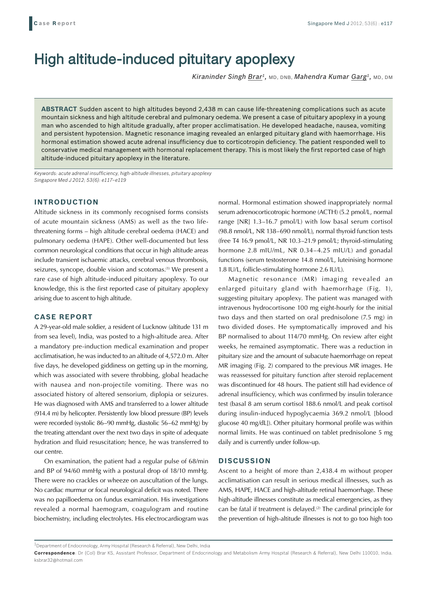# High altitude-induced pituitary apoplexy

*Kiraninder Singh Brar1,* MD, DNB, *Mahendra Kumar Garg1,* MD, DM

**ABSTRACT** Sudden ascent to high altitudes beyond 2,438 m can cause life-threatening complications such as acute mountain sickness and high altitude cerebral and pulmonary oedema. We present a case of pituitary apoplexy in a young man who ascended to high altitude gradually, after proper acclimatisation. He developed headache, nausea, vomiting and persistent hypotension. Magnetic resonance imaging revealed an enlarged pituitary gland with haemorrhage. His hormonal estimation showed acute adrenal insufficiency due to corticotropin deficiency. The patient responded well to conservative medical management with hormonal replacement therapy. This is most likely the first reported case of high altitude-induced pituitary apoplexy in the literature.

*Keywords: acute adrenal insufficiency, high-altitude illnesses, pituitary apoplexy Singapore Med J 2012; 53(6): e117–e119*

## **INTRODUCTION**

Altitude sickness in its commonly recognised forms consists of acute mountain sickness (AMS) as well as the two lifethreatening forms – high altitude cerebral oedema (HACE) and pulmonary oedema (HAPE). Other well-documented but less common neurological conditions that occur in high altitude areas include transient ischaemic attacks, cerebral venous thrombosis, seizures, syncope, double vision and scotomas.<sup>(1)</sup> We present a rare case of high altitude-induced pituitary apoplexy. To our knowledge, this is the first reported case of pituitary apoplexy arising due to ascent to high altitude.

## **CASE REPORT**

A 29-year-old male soldier, a resident of Lucknow (altitude 131 m from sea level), India, was posted to a high-altitude area. After a mandatory pre-induction medical examination and proper acclimatisation, he was inducted to an altitude of 4,572.0 m. After five days, he developed giddiness on getting up in the morning, which was associated with severe throbbing, global headache with nausea and non-projectile vomiting. There was no associated history of altered sensorium, diplopia or seizures. He was diagnosed with AMS and transferred to a lower altitude (914.4 m) by helicopter. Persistently low blood pressure (BP) levels were recorded (systolic 86–90 mmHg, diastolic 56–62 mmHg) by the treating attendant over the next two days in spite of adequate hydration and fluid resuscitation; hence, he was transferred to our centre.

On examination, the patient had a regular pulse of 68/min and BP of 94/60 mmHg with a postural drop of 18/10 mmHg. There were no crackles or wheeze on auscultation of the lungs. No cardiac murmur or focal neurological deficit was noted. There was no papilloedema on fundus examination. His investigations revealed a normal haemogram, coagulogram and routine biochemistry, including electrolytes. His electrocardiogram was

normal. Hormonal estimation showed inappropriately normal serum adrenocorticotropic hormone (ACTH) (5.2 pmol/L, normal range [NR] 1.3–16.7 pmol/L) with low basal serum cortisol (98.8 nmol/L, NR 138–690 nmol/L), normal thyroid function tests (free T4 16.9 pmol/L, NR 10.3–21.9 pmol/L; thyroid-stimulating hormone 2.8 mIU/mL, NR 0.34–4.25 mIU/L) and gonadal functions (serum testosterone 14.8 nmol/L, luteinising hormone 1.8 IU/L, follicle-stimulating hormone 2.6 IU/L).

Magnetic resonance (MR) imaging revealed an enlarged pituitary gland with haemorrhage (Fig. 1), suggesting pituitary apoplexy. The patient was managed with intravenous hydrocortisone 100 mg eight-hourly for the initial two days and then started on oral prednisolone (7.5 mg) in two divided doses. He symptomatically improved and his BP normalised to about 114/70 mmHg. On review after eight weeks, he remained asymptomatic. There was a reduction in pituitary size and the amount of subacute haemorrhage on repeat MR imaging (Fig. 2) compared to the previous MR images. He was reassessed for pituitary function after steroid replacement was discontinued for 48 hours. The patient still had evidence of adrenal insufficiency, which was confirmed by insulin tolerance test (basal 8 am serum cortisol 188.6 nmol/L and peak cortisol during insulin-induced hypoglycaemia 369.2 nmol/L [blood glucose 40 mg/dL]). Other pituitary hormonal profile was within normal limits. He was continued on tablet prednisolone 5 mg daily and is currently under follow-up.

#### **DISCUSSION**

Ascent to a height of more than 2,438.4 m without proper acclimatisation can result in serious medical illnesses, such as AMS, HAPE, HACE and high-altitude retinal haemorrhage. These high-altitude illnesses constitute as medical emergencies, as they can be fatal if treatment is delayed.<sup>(2)</sup> The cardinal principle for the prevention of high-altitude illnesses is not to go too high too

 $^{\rm 1}$ Department of Endocrinology, Army Hospital (Research & Referral), New Delhi, India

**Correspondence**: Dr (Col) Brar KS, Assistant Professor, Department of Endocrinology and Metabolism Army Hospital (Research & Referral), New Delhi 110010, India. ksbrar32@hotmail.com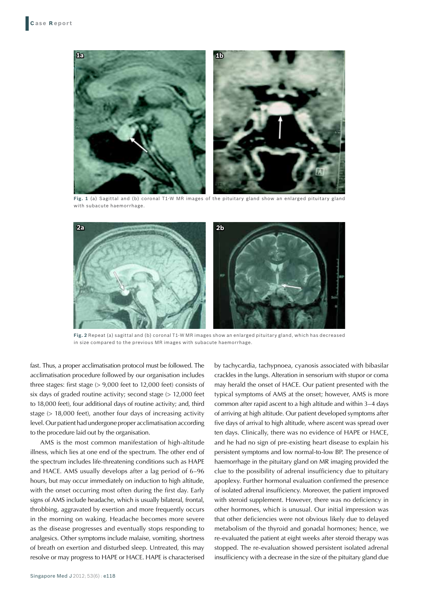

**Fig. 1** (a) Sagittal and (b) coronal T1-W MR images of the pituitary gland show an enlarged pituitary gland with subacute haemorrhage.



**Fig. 2** Repeat (a) sagittal and (b) coronal T1-W MR images show an enlarged pituitary gland, which has decreased in size compared to the previous MR images with subacute haemorrhage.

fast. Thus, a proper acclimatisation protocol must be followed. The acclimatisation procedure followed by our organisation includes three stages: first stage (> 9,000 feet to 12,000 feet) consists of six days of graded routine activity; second stage (> 12,000 feet to 18,000 feet), four additional days of routine activity; and, third stage (> 18,000 feet), another four days of increasing activity level. Our patient had undergone proper acclimatisation according to the procedure laid out by the organisation.

AMS is the most common manifestation of high-altitude illness, which lies at one end of the spectrum. The other end of the spectrum includes life-threatening conditions such as HAPE and HACE. AMS usually develops after a lag period of 6–96 hours, but may occur immediately on induction to high altitude, with the onset occurring most often during the first day. Early signs of AMS include headache, which is usually bilateral, frontal, throbbing, aggravated by exertion and more frequently occurs in the morning on waking. Headache becomes more severe as the disease progresses and eventually stops responding to analgesics. Other symptoms include malaise, vomiting, shortness of breath on exertion and disturbed sleep. Untreated, this may resolve or may progress to HAPE or HACE. HAPE is characterised by tachycardia, tachypnoea, cyanosis associated with bibasilar crackles in the lungs. Alteration in sensorium with stupor or coma may herald the onset of HACE. Our patient presented with the typical symptoms of AMS at the onset; however, AMS is more common after rapid ascent to a high altitude and within 3–4 days of arriving at high altitude. Our patient developed symptoms after five days of arrival to high altitude, where ascent was spread over ten days. Clinically, there was no evidence of HAPE or HACE, and he had no sign of pre-existing heart disease to explain his persistent symptoms and low normal-to-low BP. The presence of haemorrhage in the pituitary gland on MR imaging provided the clue to the possibility of adrenal insufficiency due to pituitary apoplexy. Further hormonal evaluation confirmed the presence of isolated adrenal insufficiency. Moreover, the patient improved with steroid supplement. However, there was no deficiency in other hormones, which is unusual. Our initial impression was that other deficiencies were not obvious likely due to delayed metabolism of the thyroid and gonadal hormones; hence, we re-evaluated the patient at eight weeks after steroid therapy was stopped. The re-evaluation showed persistent isolated adrenal insufficiency with a decrease in the size of the pituitary gland due